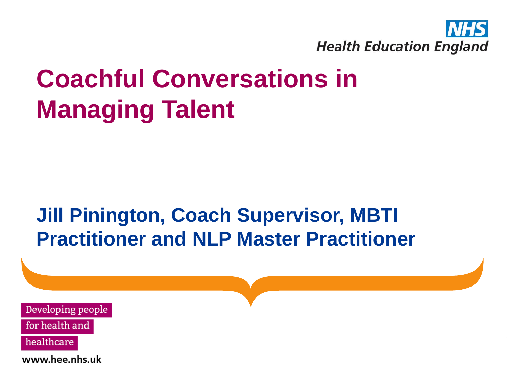

## **Coachful Conversations in Managing Talent**

## **Jill Pinington, Coach Supervisor, MBTI Practitioner and NLP Master Practitioner**

Developing people

for health and

healthcare

www.hee.nhs.uk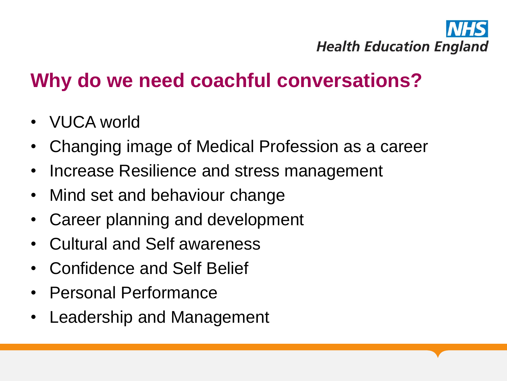

## **Why do we need coachful conversations?**

- VUCA world
- Changing image of Medical Profession as a career
- Increase Resilience and stress management
- Mind set and behaviour change
- Career planning and development
- Cultural and Self awareness
- Confidence and Self Belief
- Personal Performance
- Leadership and Management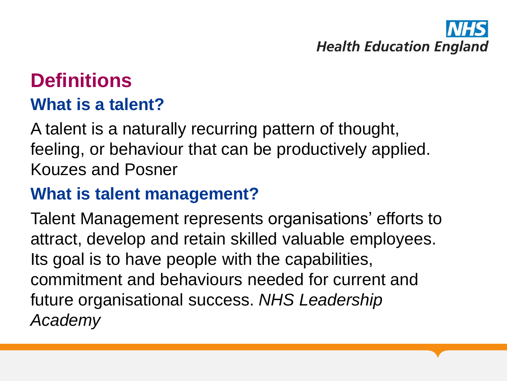# **Health Education England**

# **Definitions**

### **What is a talent?**

A talent is a naturally recurring pattern of thought, feeling, or behaviour that can be productively applied. Kouzes and Posner

### **What is talent management?**

Talent Management represents organisations' efforts to attract, develop and retain skilled valuable employees. Its goal is to have people with the capabilities, commitment and behaviours needed for current and future organisational success. *NHS Leadership Academy*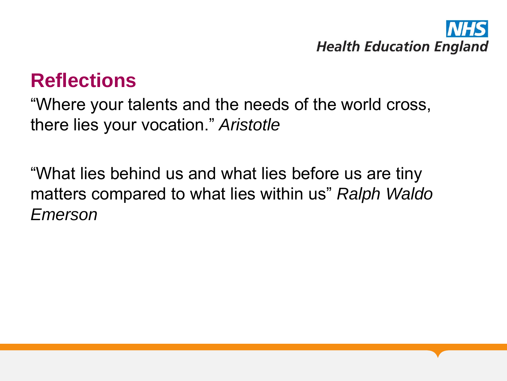

## **Reflections**

"Where your talents and the needs of the world cross, there lies your vocation." *Aristotle*

"What lies behind us and what lies before us are tiny matters compared to what lies within us" *Ralph Waldo Emerson*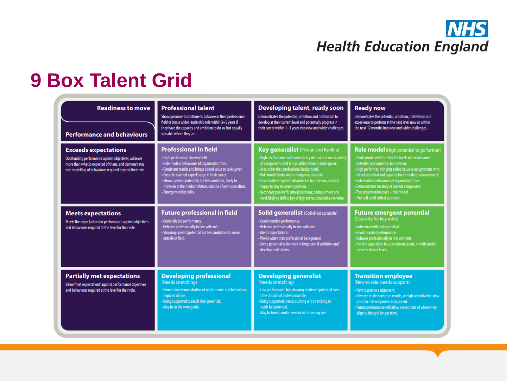### **NHS Health Education England**

## **9 Box Talent Grid**

| <b>Readiness to move</b><br><b>Performance and behaviours</b>                                                                                                                                           | <b>Professional talent</b><br>Shows promise to continue to advance in their professional<br>field or into a wider leadership role within 3-5 years if<br>they have the capacity and ambition to do so, but equally<br>valuable where they are.                                                                                                                                           | Developing talent, ready soon<br>Demonstrates the potential, ambition and motivation to<br>develop at their current level and potentially progress in<br>their career within 1-3 years into new and wider challenges.                                                                                                                                                                                                                                                                                            | <b>Ready now</b><br>Demonstrates the potential, ambition, motivation and<br>experience to perform at the next level now or within<br>the next 12 months into new and wider challenges.                                                                                                                                                                                                                                                                         |
|---------------------------------------------------------------------------------------------------------------------------------------------------------------------------------------------------------|------------------------------------------------------------------------------------------------------------------------------------------------------------------------------------------------------------------------------------------------------------------------------------------------------------------------------------------------------------------------------------------|------------------------------------------------------------------------------------------------------------------------------------------------------------------------------------------------------------------------------------------------------------------------------------------------------------------------------------------------------------------------------------------------------------------------------------------------------------------------------------------------------------------|----------------------------------------------------------------------------------------------------------------------------------------------------------------------------------------------------------------------------------------------------------------------------------------------------------------------------------------------------------------------------------------------------------------------------------------------------------------|
| <b>Exceeds expectations</b><br>Outstanding performance against objectives, achieves<br>more than what is expected of them, and demonstrates<br>role modelling of behaviours required beyond their role. | <b>Professional in field</b><br>· High performance in own field.<br>- Role models behaviours of organisation/role.<br>- Consistent results and brings added value to tasks given<br>· Possible reached 'expert' stage in their career.<br>- Shows upward potential, but less ambition, likely to<br>move on in the medium future, outside of own specialism.<br>· Emergent wider skills. | <b>Key generalist</b> (Pivotal and flexible)<br>- High performance with consistency of results across a variety<br>of assignments and brings added value to tasks given.<br>- Acts wider than professional background.<br>- Role models behaviours of organisation/role.<br>- Low-moderate potential/ambition to move on, possibly<br>happy to stay in current position.<br>- Secondary pool to fill critical positions; perhaps move one<br>level; likely to shift to key of high professional roles over time. | Role model (High potential to go further)<br>- A role model with the highest levels of performance,<br>potential and ambition to move on.<br>- High performer, bringing added value to assignments with<br>lots of potential and capacity for immediate advancement.<br>- Role models behaviours of organisation/role.<br>- Demonstrates mastery of current assignment.<br>· True organisation asset - role model.<br>- First call to fill critical positions. |
| <b>Meets expectations</b><br>Meets the expectations for performance against objectives<br>and behaviours required at the level for their role.                                                          | <b>Future professional in field</b><br>· Good reliable performance.<br>- Behaves professionally in line with role.<br>- Showing upward potential but less ambitious to move<br>outside of field.                                                                                                                                                                                         | <b>Solid generalist (Solid/adaptable)</b><br>· Good rounded performance.<br>- Behaves professionally in line with role.<br>• Meets expectations.<br>- Works wider than professional background.<br>• Some potential to do more in long term if ambition and<br>development allows.                                                                                                                                                                                                                               | <b>Future emergent potential</b><br>(Capacity for key roles)<br>- Individual with high potential.<br>· Good rounded performance.<br>- Behaves professionally in line with role.<br>- Has the capacity to be a consistent talent, or with stretch<br>move to higher levels.                                                                                                                                                                                     |
| <b>Partially met expectations</b><br>Below 'met expectations' against performance objectives<br>and behaviours required at the level for their role.                                                    | <b>Developing professional</b><br>(Needs stretching)<br>• Current low demonstration of performance and behaviours<br>required of role.<br>- Being supported to reach their potential.<br>• May be in the wrong role.                                                                                                                                                                     | <b>Developing generalist</b><br>(Needs stretching)<br>- Low performance but showing moderate potential over<br>time outside of professional role.<br>- Being supported, needs pushing and stretching to<br>reach full potential.<br>. May be bored, under-used or in the wrong role.                                                                                                                                                                                                                             | <b>Transition employee</b><br>(New to role, needs support)<br>- New to post or assignment.<br>- Have yet to demonstrate results, or high potential in a new<br>position / development assignment.<br>- Future performance will allow assessment of where they<br>align to the grid longer term.                                                                                                                                                                |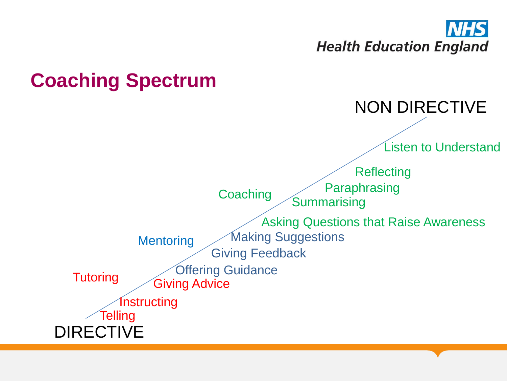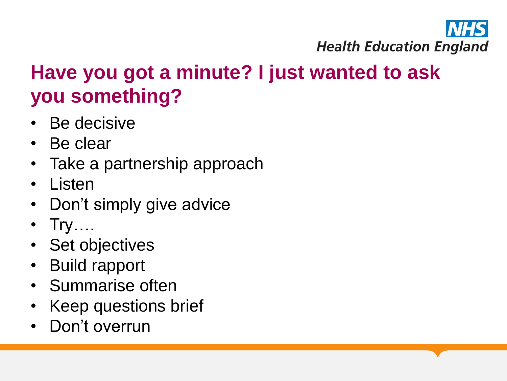

## **Have you got a minute? I just wanted to ask you something?**

- Be decisive
- Be clear
- Take a partnership approach
- Listen
- Don't simply give advice
- $Try...$
- Set objectives
- Build rapport
- Summarise often
- Keep questions brief
- Don't overrun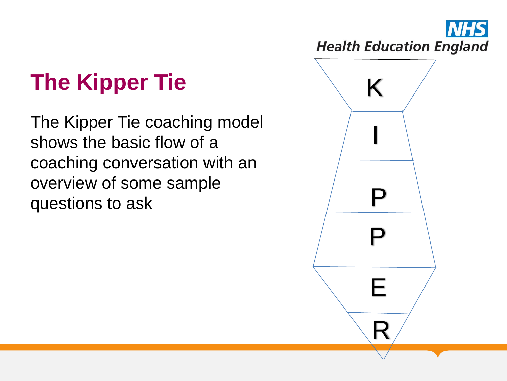## The Kipper Tie **King Kipper** Tie

The Kipper Tie coaching model shows the basic flow of a coaching conversation with an overview of some sample questions to ask

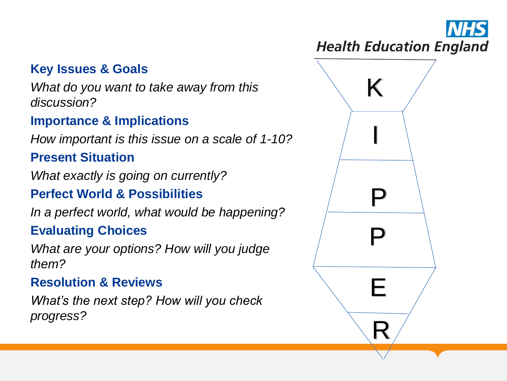### **Key Issues & Goals**

*What do you want to take away from this discussion?*

#### **Importance & Implications**

*How important is this issue on a scale of 1 -10?*

#### **Present Situation**

*What exactly is going on currently?*

### **Perfect World & Possibilities**

*In a perfect world, what would be happening?*

### **Evaluating Choices**

*What are your options? How will you judge them?*

#### **Resolution & Reviews**

*What's the next step? How will you check progress?*

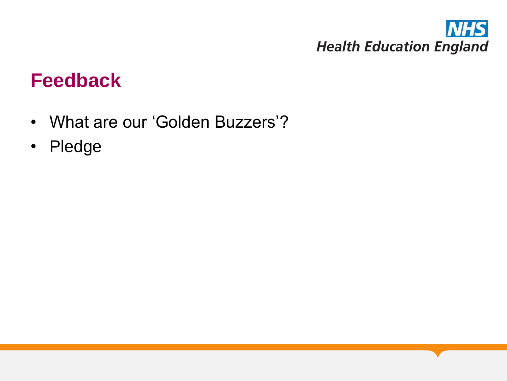

### **Feedback**

- What are our 'Golden Buzzers'?
- Pledge